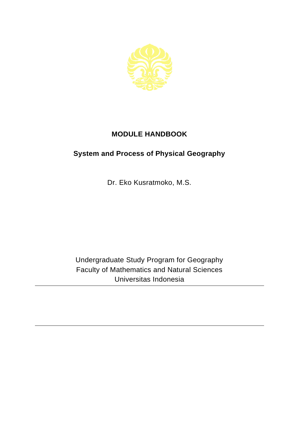

## **MODULE HANDBOOK**

## **System and Process of Physical Geography**

Dr. Eko Kusratmoko, M.S.

Undergraduate Study Program for Geography Faculty of Mathematics and Natural Sciences Universitas Indonesia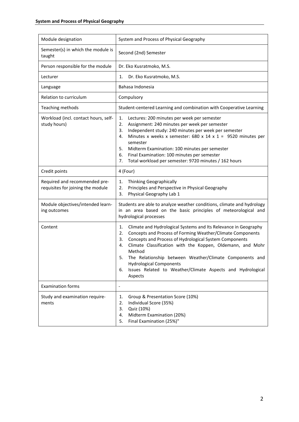| Module designation                                                 | System and Process of Physical Geography                                                                                                                                                                                                                                                                                                                                                                                                                                  |
|--------------------------------------------------------------------|---------------------------------------------------------------------------------------------------------------------------------------------------------------------------------------------------------------------------------------------------------------------------------------------------------------------------------------------------------------------------------------------------------------------------------------------------------------------------|
| Semester(s) in which the module is<br>taught                       | Second (2nd) Semester                                                                                                                                                                                                                                                                                                                                                                                                                                                     |
| Person responsible for the module                                  | Dr. Eko Kusratmoko, M.S.                                                                                                                                                                                                                                                                                                                                                                                                                                                  |
| Lecturer                                                           | Dr. Eko Kusratmoko, M.S.<br>1.                                                                                                                                                                                                                                                                                                                                                                                                                                            |
| Language                                                           | Bahasa Indonesia                                                                                                                                                                                                                                                                                                                                                                                                                                                          |
| Relation to curriculum                                             | Compulsory                                                                                                                                                                                                                                                                                                                                                                                                                                                                |
| Teaching methods                                                   | Student-centered Learning and combination with Cooperative Learning                                                                                                                                                                                                                                                                                                                                                                                                       |
| Workload (incl. contact hours, self-<br>study hours)               | Lectures: 200 minutes per week per semester<br>1.<br>Assignment: 240 minutes per week per semester<br>2.<br>Independent study: 240 minutes per week per semester<br>3.<br>Minutes x weeks x semester: 680 x 14 x 1 = 9520 minutes per<br>4.<br>semester<br>5.<br>Midterm Examination: 100 minutes per semester<br>Final Examination: 100 minutes per semester<br>6.<br>Total workload per semester: 9720 minutes / 162 hours<br>7.                                        |
| Credit points                                                      | 4 (Four)                                                                                                                                                                                                                                                                                                                                                                                                                                                                  |
| Required and recommended pre-<br>requisites for joining the module | Thinking Geographically<br>1.<br>Principles and Perspective in Physical Geography<br>2.<br>Physical Geography Lab 1<br>3.                                                                                                                                                                                                                                                                                                                                                 |
| Module objectives/intended learn-<br>ing outcomes                  | Students are able to analyze weather conditions, climate and hydrology<br>in an area based on the basic principles of meteorological and<br>hydrological processes                                                                                                                                                                                                                                                                                                        |
| Content                                                            | Climate and Hydrological Systems and Its Relevance in Geography<br>1.<br>Concepts and Process of Forming Weather/Climate Components<br>2.<br>Concepts and Process of Hydrological System Components<br>3.<br>Climate Classification with the Koppen, Oldemann, and Mohr<br>4.<br>Method<br>The Relationship between Weather/Climate Components and<br>5.<br><b>Hydrological Components</b><br>Issues Related to Weather/Climate Aspects and Hydrological<br>6.<br>Aspects |
| <b>Examination forms</b>                                           | $\overline{\phantom{a}}$                                                                                                                                                                                                                                                                                                                                                                                                                                                  |
| Study and examination require-<br>ments                            | Group & Presentation Score (10%)<br>1.<br>2.<br>Individual Score (35%)<br>Quiz (10%)<br>3.<br>Midterm Examination (20%)<br>4.<br>Final Examination (25%)"<br>5.                                                                                                                                                                                                                                                                                                           |